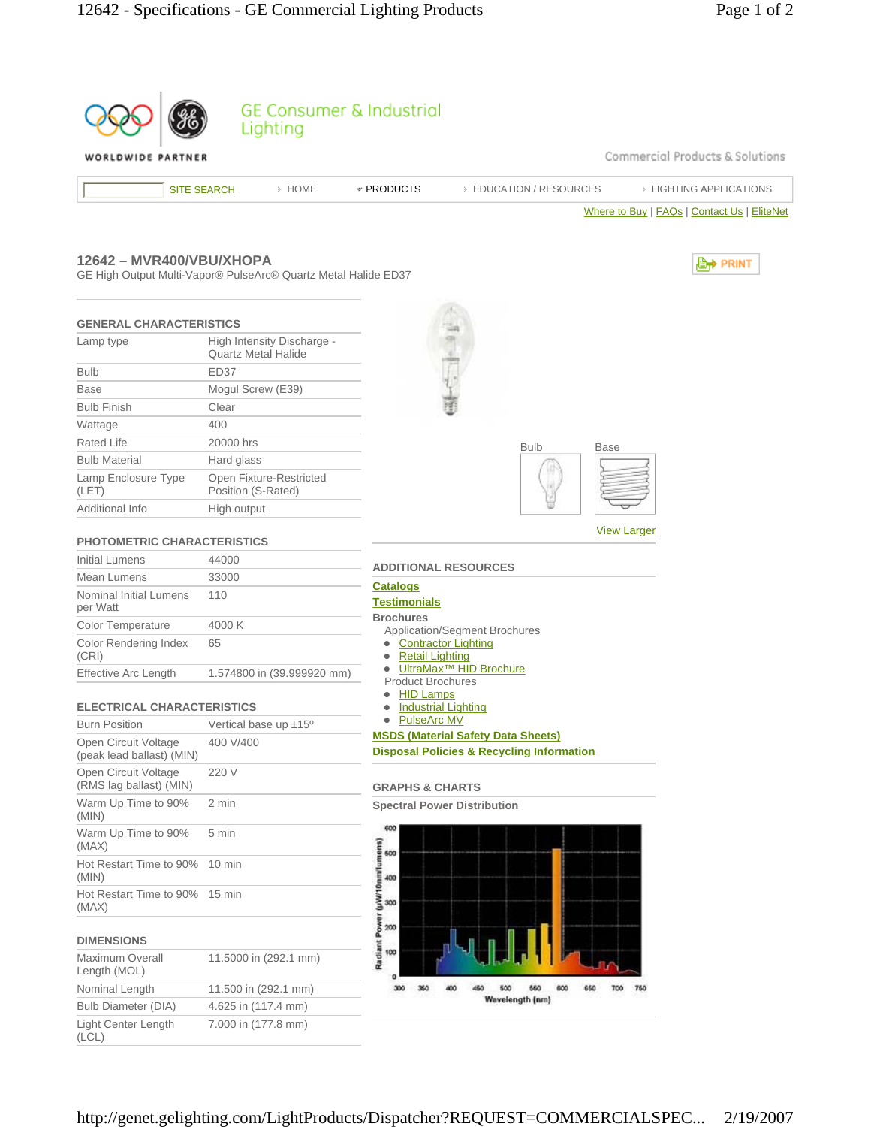|                                                                                            |                                                          |                            | <b>GE Consumer &amp; Industrial</b>     |                                                      |                                             |
|--------------------------------------------------------------------------------------------|----------------------------------------------------------|----------------------------|-----------------------------------------|------------------------------------------------------|---------------------------------------------|
| WORLDWIDE PARTNER                                                                          |                                                          | Lighting                   |                                         |                                                      | Commercial Products & Solutions             |
|                                                                                            | <b>SITE SEARCH</b>                                       | > HOME                     | * PRODUCTS                              | <b>EDUCATION / RESOURCES</b>                         | <b>EIGHTING APPLICATIONS</b>                |
|                                                                                            |                                                          |                            |                                         |                                                      |                                             |
|                                                                                            |                                                          |                            |                                         |                                                      | Where to Buy   FAQs   Contact Us   EliteNet |
| 12642 - MVR400/VBU/XHOPA<br>GE High Output Multi-Vapor® PulseArc® Quartz Metal Halide ED37 |                                                          |                            |                                         |                                                      | <b>E</b> <sup>→</sup> PRINT                 |
| <b>GENERAL CHARACTERISTICS</b>                                                             |                                                          |                            |                                         |                                                      |                                             |
| Lamp type                                                                                  | High Intensity Discharge -<br><b>Quartz Metal Halide</b> |                            |                                         |                                                      |                                             |
| <b>Bulb</b>                                                                                | ED37                                                     |                            |                                         |                                                      |                                             |
| <b>Base</b>                                                                                | Mogul Screw (E39)                                        |                            |                                         |                                                      |                                             |
| <b>Bulb Finish</b>                                                                         | Clear                                                    |                            |                                         |                                                      |                                             |
| Wattage                                                                                    | 400                                                      |                            |                                         |                                                      |                                             |
| <b>Rated Life</b>                                                                          | 20000 hrs                                                |                            |                                         | <b>Bulb</b>                                          | Base                                        |
| <b>Bulb Material</b>                                                                       | Hard glass                                               |                            |                                         |                                                      |                                             |
| Lamp Enclosure Type<br>(LET)                                                               | Position (S-Rated)                                       | Open Fixture-Restricted    |                                         |                                                      |                                             |
| Additional Info                                                                            | High output                                              |                            |                                         |                                                      |                                             |
|                                                                                            |                                                          |                            |                                         |                                                      | <b>View Larger</b>                          |
| <b>PHOTOMETRIC CHARACTERISTICS</b>                                                         |                                                          |                            |                                         |                                                      |                                             |
| <b>Initial Lumens</b>                                                                      | 44000                                                    |                            |                                         | <b>ADDITIONAL RESOURCES</b>                          |                                             |
| Mean Lumens                                                                                | 33000                                                    |                            | <u>Catalogs</u>                         |                                                      |                                             |
| Nominal Initial Lumens<br>per Watt                                                         | 110                                                      |                            | <b>Testimonials</b><br><b>Brochures</b> |                                                      |                                             |
| Color Temperature                                                                          | 4000 K                                                   |                            |                                         | <b>Application/Segment Brochures</b>                 |                                             |
| <b>Color Rendering Index</b><br>(CRI)                                                      | 65                                                       |                            | <b>Retail Lighting</b>                  | <b>Contractor Lighting</b>                           |                                             |
| <b>Effective Arc Length</b>                                                                |                                                          | 1.574800 in (39.999920 mm) | <b>Product Brochures</b>                | UltraMax <sup>™</sup> HID Brochure                   |                                             |
|                                                                                            |                                                          |                            | <b>HID Lamps</b>                        |                                                      |                                             |
| <b>ELECTRICAL CHARACTERISTICS</b>                                                          |                                                          |                            | <b>PulseArc MV</b>                      | <b>Industrial Lighting</b>                           |                                             |
| <b>Burn Position</b>                                                                       | Vertical base up ±15°                                    |                            |                                         | <b>MSDS (Material Safety Data Sheets)</b>            |                                             |
| Open Circuit Voltage<br>(peak lead ballast) (MIN)                                          | 400 V/400                                                |                            |                                         | <b>Disposal Policies &amp; Recycling Information</b> |                                             |
| Open Circuit Voltage<br>(RMS lag ballast) (MIN)                                            | 220 V                                                    |                            | <b>GRAPHS &amp; CHARTS</b>              |                                                      |                                             |
| Warm Up Time to 90%<br>(MIN)                                                               | 2 min                                                    |                            |                                         | <b>Spectral Power Distribution</b>                   |                                             |
| Warm Up Time to 90%<br>(MAX)                                                               | 5 min                                                    |                            | 600                                     |                                                      |                                             |
| Hot Restart Time to 90%<br>(MIN)                                                           | 10 min                                                   |                            |                                         |                                                      |                                             |
| Hot Restart Time to 90% 15 min<br>(MAX)                                                    |                                                          |                            | r (uWr10nm/lumens<br>8 8 8<br>8         |                                                      |                                             |
| <b>DIMENSIONS</b>                                                                          |                                                          |                            | <b>DAMB</b><br>200                      |                                                      |                                             |
| <b>Maximum Overall</b><br>Length (MOL)                                                     |                                                          | 11.5000 in (292.1 mm)      | Radiant<br>100<br>٥                     |                                                      |                                             |
| Nominal Length                                                                             | 11.500 in (292.1 mm)                                     |                            | 300<br>360                              | 500<br>600                                           |                                             |
| <b>Bulb Diameter (DIA)</b>                                                                 | 4.625 in (117.4 mm)                                      |                            |                                         | Wavelength (nm)                                      |                                             |
| Light Center Length<br>(LCL)                                                               | 7.000 in (177.8 mm)                                      |                            |                                         |                                                      |                                             |